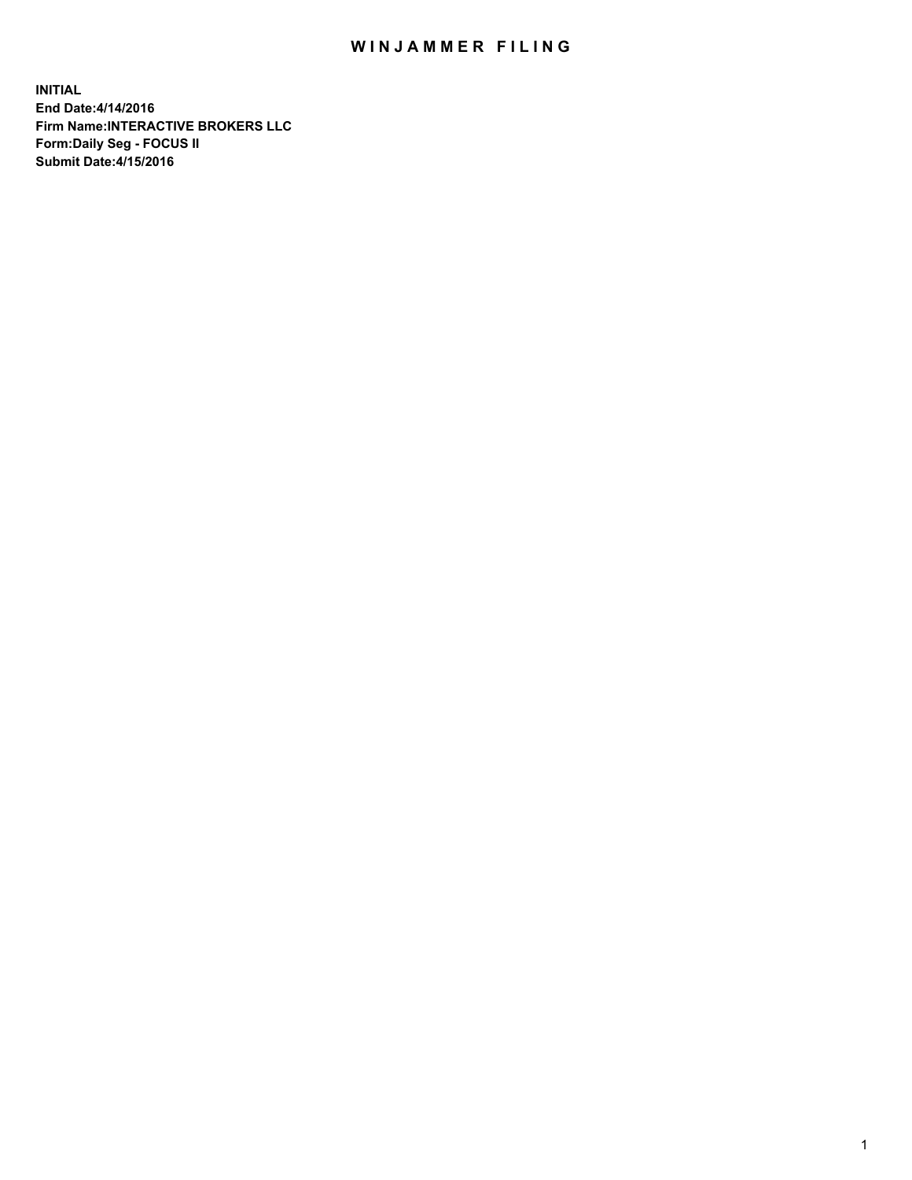## WIN JAMMER FILING

**INITIAL End Date:4/14/2016 Firm Name:INTERACTIVE BROKERS LLC Form:Daily Seg - FOCUS II Submit Date:4/15/2016**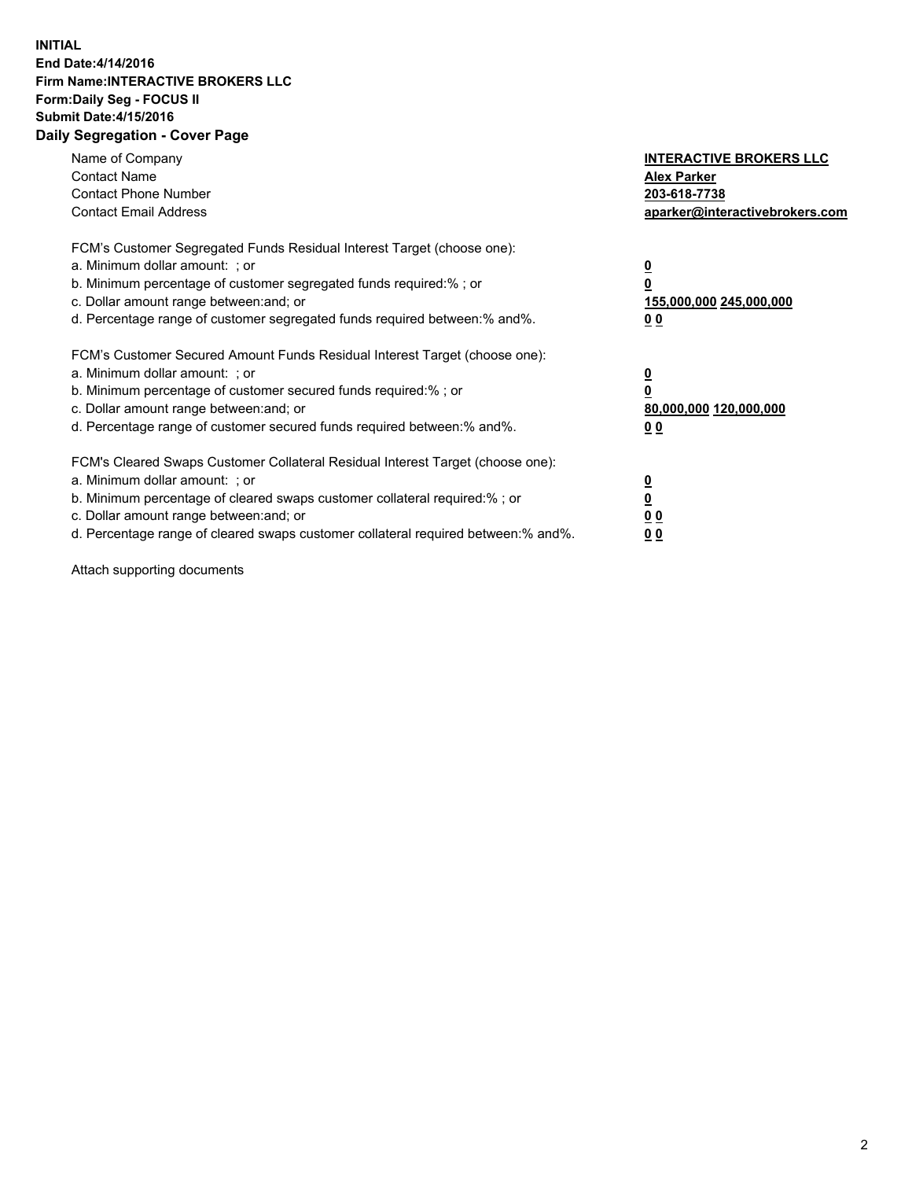## **INITIAL End Date:4/14/2016 Firm Name:INTERACTIVE BROKERS LLC Form:Daily Seg - FOCUS II Submit Date:4/15/2016 Daily Segregation - Cover Page**

| Name of Company<br><b>Contact Name</b><br><b>Contact Phone Number</b><br><b>Contact Email Address</b>                                                                                                                                                                                                                         | <b>INTERACTIVE BROKERS LLC</b><br><b>Alex Parker</b><br>203-618-7738<br>aparker@interactivebrokers.com |
|-------------------------------------------------------------------------------------------------------------------------------------------------------------------------------------------------------------------------------------------------------------------------------------------------------------------------------|--------------------------------------------------------------------------------------------------------|
| FCM's Customer Segregated Funds Residual Interest Target (choose one):<br>a. Minimum dollar amount: ; or<br>b. Minimum percentage of customer segregated funds required:% ; or<br>c. Dollar amount range between: and; or<br>d. Percentage range of customer segregated funds required between:% and%.                        | <u>0</u><br>155,000,000 245,000,000<br>0 <sub>0</sub>                                                  |
| FCM's Customer Secured Amount Funds Residual Interest Target (choose one):<br>a. Minimum dollar amount: ; or<br>b. Minimum percentage of customer secured funds required:%; or<br>c. Dollar amount range between: and; or<br>d. Percentage range of customer secured funds required between: % and %.                         | <u>0</u><br>80,000,000 120,000,000<br><u>00</u>                                                        |
| FCM's Cleared Swaps Customer Collateral Residual Interest Target (choose one):<br>a. Minimum dollar amount: ; or<br>b. Minimum percentage of cleared swaps customer collateral required:%; or<br>c. Dollar amount range between: and; or<br>d. Percentage range of cleared swaps customer collateral required between:% and%. | <u>0</u><br>0 <sub>0</sub><br>0 <sub>0</sub>                                                           |

Attach supporting documents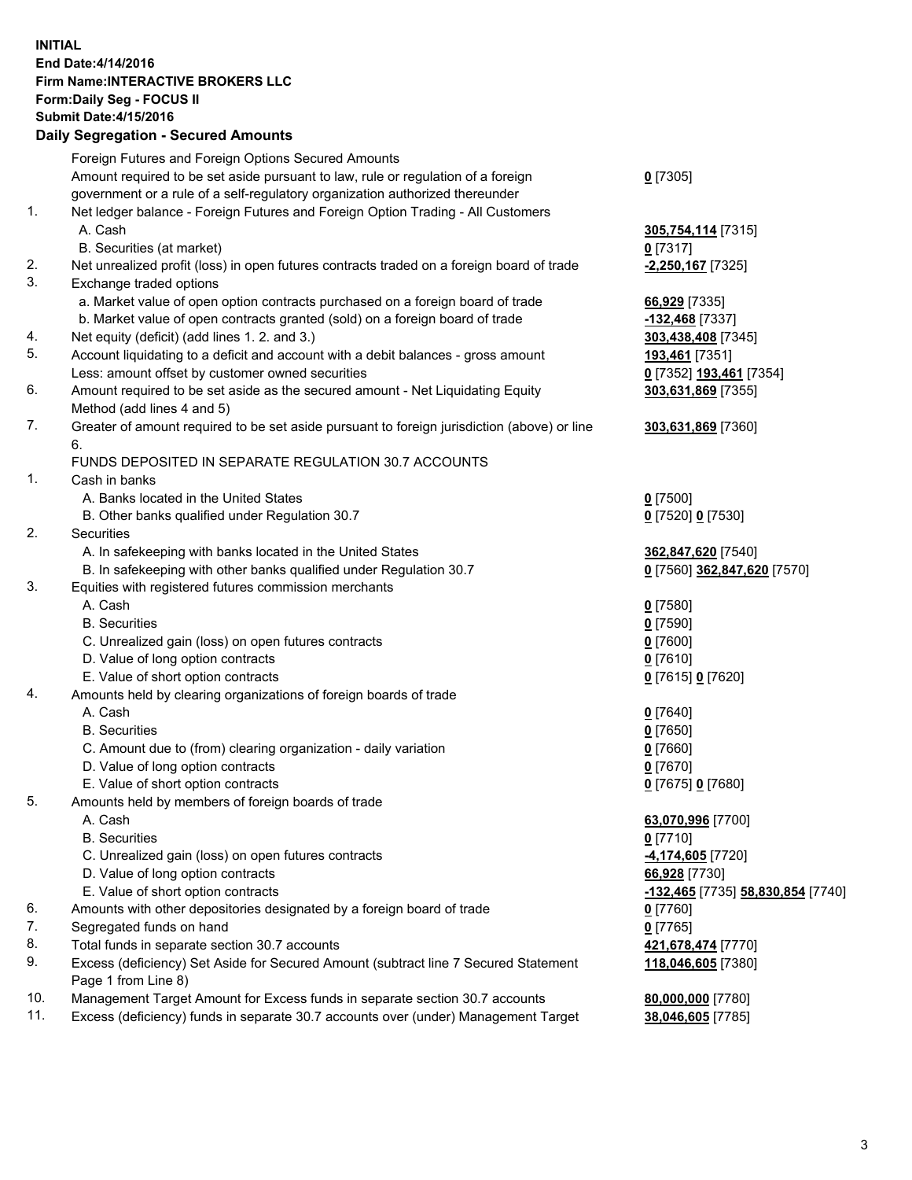## **INITIAL End Date:4/14/2016 Firm Name:INTERACTIVE BROKERS LLC Form:Daily Seg - FOCUS II Submit Date:4/15/2016 Daily Segregation - Secured Amounts**

| Dany Ocgregation - Oceanea Annoanta                                                         |                                                                                    |
|---------------------------------------------------------------------------------------------|------------------------------------------------------------------------------------|
| Foreign Futures and Foreign Options Secured Amounts                                         |                                                                                    |
| Amount required to be set aside pursuant to law, rule or regulation of a foreign            | $0$ [7305]                                                                         |
| government or a rule of a self-regulatory organization authorized thereunder                |                                                                                    |
| Net ledger balance - Foreign Futures and Foreign Option Trading - All Customers             |                                                                                    |
| A. Cash                                                                                     | 305,754,114 [7315]                                                                 |
| B. Securities (at market)                                                                   | $0$ [7317]                                                                         |
| Net unrealized profit (loss) in open futures contracts traded on a foreign board of trade   | -2,250,167 <sup>[7325]</sup>                                                       |
| Exchange traded options                                                                     |                                                                                    |
| a. Market value of open option contracts purchased on a foreign board of trade              | 66,929 [7335]                                                                      |
| b. Market value of open contracts granted (sold) on a foreign board of trade                | -132,468 [7337]                                                                    |
| Net equity (deficit) (add lines 1.2. and 3.)                                                | 303,438,408 [7345]                                                                 |
| Account liquidating to a deficit and account with a debit balances - gross amount           | 193,461 [7351]                                                                     |
| Less: amount offset by customer owned securities                                            | 0 [7352] 193,461 [7354]                                                            |
| Amount required to be set aside as the secured amount - Net Liquidating Equity              | 303,631,869 [7355]                                                                 |
| Method (add lines 4 and 5)                                                                  |                                                                                    |
| Greater of amount required to be set aside pursuant to foreign jurisdiction (above) or line | 303,631,869 [7360]                                                                 |
| 6.                                                                                          |                                                                                    |
| FUNDS DEPOSITED IN SEPARATE REGULATION 30.7 ACCOUNTS                                        |                                                                                    |
| Cash in banks                                                                               |                                                                                    |
| A. Banks located in the United States                                                       | $0$ [7500]                                                                         |
| B. Other banks qualified under Regulation 30.7                                              | 0 [7520] 0 [7530]                                                                  |
| Securities                                                                                  |                                                                                    |
| A. In safekeeping with banks located in the United States                                   | 362,847,620 [7540]                                                                 |
| B. In safekeeping with other banks qualified under Regulation 30.7                          | 0 [7560] 362,847,620 [7570]                                                        |
| Equities with registered futures commission merchants                                       |                                                                                    |
| A. Cash                                                                                     | $0$ [7580]                                                                         |
| <b>B.</b> Securities                                                                        | $0$ [7590]                                                                         |
| C. Unrealized gain (loss) on open futures contracts                                         | $0$ [7600]                                                                         |
| D. Value of long option contracts                                                           | $0$ [7610]                                                                         |
| E. Value of short option contracts                                                          | 0 [7615] 0 [7620]                                                                  |
| Amounts held by clearing organizations of foreign boards of trade                           |                                                                                    |
| A. Cash                                                                                     | $0$ [7640]                                                                         |
| <b>B.</b> Securities                                                                        | $0$ [7650]                                                                         |
| C. Amount due to (from) clearing organization - daily variation                             | $0$ [7660]                                                                         |
| D. Value of long option contracts                                                           | $0$ [7670]                                                                         |
| E. Value of short option contracts                                                          | 0 [7675] 0 [7680]                                                                  |
| Amounts held by members of foreign boards of trade                                          |                                                                                    |
| A. Cash                                                                                     | 63,070,996 [7700]                                                                  |
| <b>B.</b> Securities                                                                        | $0$ [7710]                                                                         |
| C. Unrealized gain (loss) on open futures contracts                                         | <u>-4,174,605</u> [7720]                                                           |
| D. Value of long option contracts                                                           | 66,928 [7730]                                                                      |
| E. Value of short option contracts                                                          | -132,465 [7735] 58,830,854 [7740]                                                  |
| Amounts with other depositories designated by a foreign board of trade                      | $0$ [7760]                                                                         |
| Segregated funds on hand                                                                    | $0$ [7765]                                                                         |
| Total funds in separate section 30.7 accounts                                               | 421,678,474 [7770]                                                                 |
| Excess (deficiency) Set Aside for Secured Amount (subtract line 7 Secured Statement         | 118,046,605 [7380]                                                                 |
| Page 1 from Line 8)                                                                         |                                                                                    |
| Management Target Amount for Excess funds in separate section 30.7 accounts                 | 80,000,000 [7780]                                                                  |
|                                                                                             | 38,046,605 [7785]                                                                  |
|                                                                                             | Excess (deficiency) funds in separate 30.7 accounts over (under) Management Target |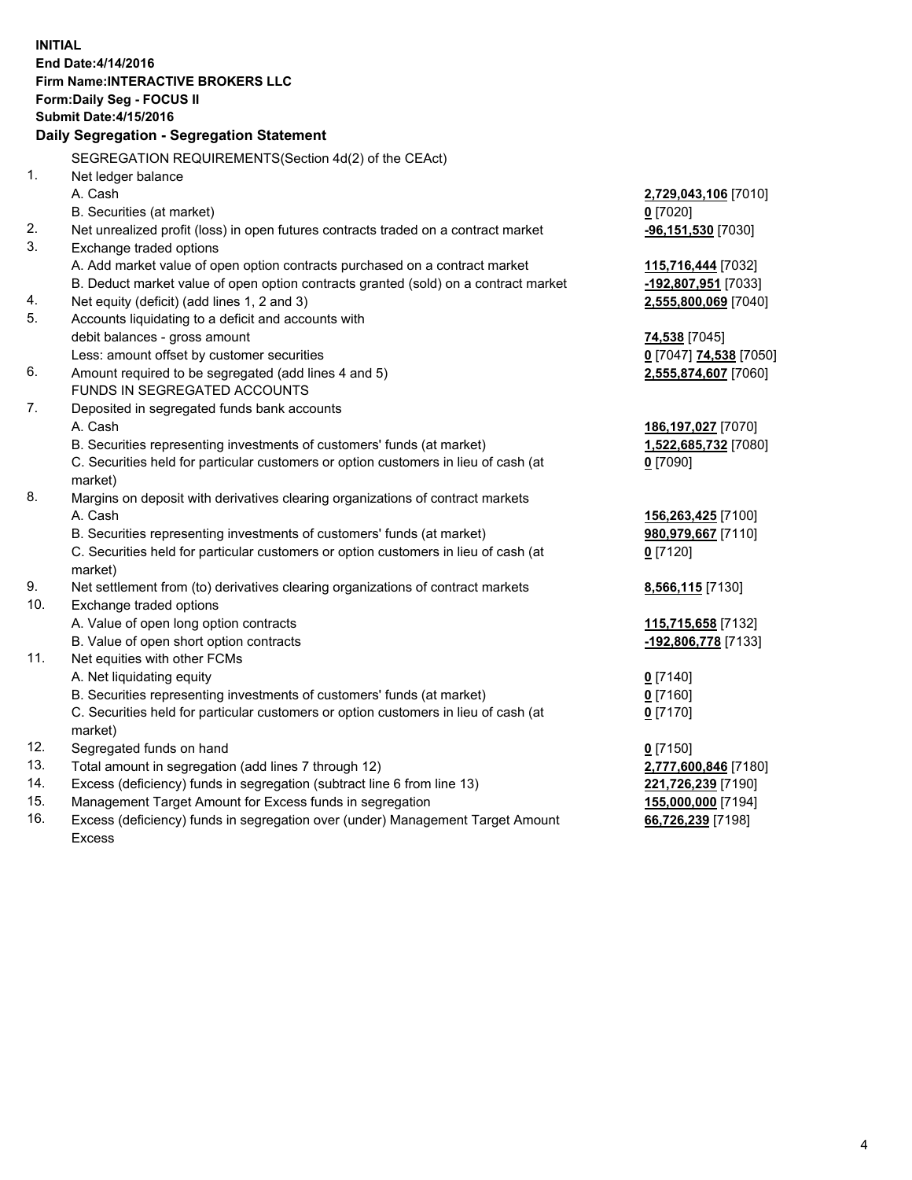**INITIAL End Date:4/14/2016 Firm Name:INTERACTIVE BROKERS LLC Form:Daily Seg - FOCUS II Submit Date:4/15/2016 Daily Segregation - Segregation Statement** SEGREGATION REQUIREMENTS(Section 4d(2) of the CEAct) 1. Net ledger balance A. Cash **2,729,043,106** [7010] B. Securities (at market) **0** [7020] 2. Net unrealized profit (loss) in open futures contracts traded on a contract market **-96,151,530** [7030] 3. Exchange traded options A. Add market value of open option contracts purchased on a contract market **115,716,444** [7032] B. Deduct market value of open option contracts granted (sold) on a contract market **-192,807,951** [7033] 4. Net equity (deficit) (add lines 1, 2 and 3) **2,555,800,069** [7040] 5. Accounts liquidating to a deficit and accounts with debit balances - gross amount **74,538** [7045] Less: amount offset by customer securities **0** [7047] **74,538** [7050] 6. Amount required to be segregated (add lines 4 and 5) **2,555,874,607** [7060] FUNDS IN SEGREGATED ACCOUNTS 7. Deposited in segregated funds bank accounts A. Cash **186,197,027** [7070] B. Securities representing investments of customers' funds (at market) **1,522,685,732** [7080] C. Securities held for particular customers or option customers in lieu of cash (at market) **0** [7090] 8. Margins on deposit with derivatives clearing organizations of contract markets A. Cash **156,263,425** [7100] B. Securities representing investments of customers' funds (at market) **980,979,667** [7110] C. Securities held for particular customers or option customers in lieu of cash (at market) **0** [7120] 9. Net settlement from (to) derivatives clearing organizations of contract markets **8,566,115** [7130] 10. Exchange traded options A. Value of open long option contracts **115,715,658** [7132] B. Value of open short option contracts **-192,806,778** [7133] 11. Net equities with other FCMs A. Net liquidating equity **0** [7140] B. Securities representing investments of customers' funds (at market) **0** [7160] C. Securities held for particular customers or option customers in lieu of cash (at market) **0** [7170] 12. Segregated funds on hand **0** [7150] 13. Total amount in segregation (add lines 7 through 12) **2,777,600,846** [7180] 14. Excess (deficiency) funds in segregation (subtract line 6 from line 13) **221,726,239** [7190] 15. Management Target Amount for Excess funds in segregation **155,000,000** [7194] 16. Excess (deficiency) funds in segregation over (under) Management Target Amount **66,726,239** [7198]

Excess